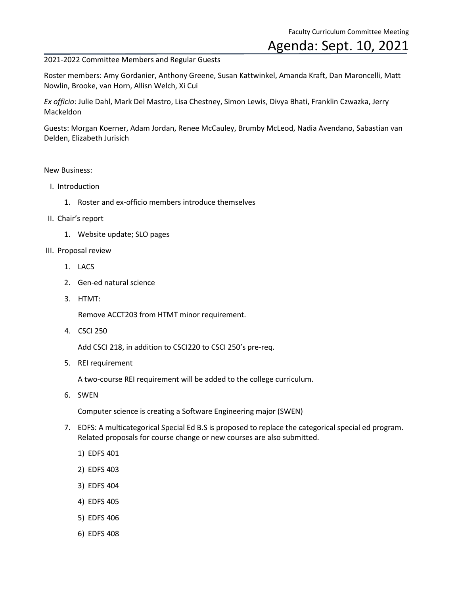## Agenda: Sept. 10, 2021

## 2021-2022 Committee Members and Regular Guests

Roster members: Amy Gordanier, Anthony Greene, Susan Kattwinkel, Amanda Kraft, Dan Maroncelli, Matt Nowlin, Brooke, van Horn, Allisn Welch, Xi Cui

*Ex officio*: Julie Dahl, Mark Del Mastro, Lisa Chestney, Simon Lewis, Divya Bhati, Franklin Czwazka, Jerry **Mackeldon** 

Guests: Morgan Koerner, Adam Jordan, Renee McCauley, Brumby McLeod, Nadia Avendano, Sabastian van Delden, Elizabeth Jurisich

## New Business:

- I. Introduction
	- 1. Roster and ex-officio members introduce themselves
- II. Chair's report
	- 1. Website update; SLO pages
- III. Proposal review
	- 1. LACS
	- 2. Gen-ed natural science
	- 3. HTMT:

Remove ACCT203 from HTMT minor requirement.

4. CSCI 250

Add CSCI 218, in addition to CSCI220 to CSCI 250's pre-req.

5. REI requirement

A two-course REI requirement will be added to the college curriculum.

6. SWEN

Computer science is creating a Software Engineering major (SWEN)

- 7. EDFS: A multicategorical Special Ed B.S is proposed to replace the categorical special ed program. Related proposals for course change or new courses are also submitted.
	- 1) EDFS 401
	- 2) EDFS 403
	- 3) EDFS 404
	- 4) EDFS 405
	- 5) EDFS 406
	- 6) EDFS 408